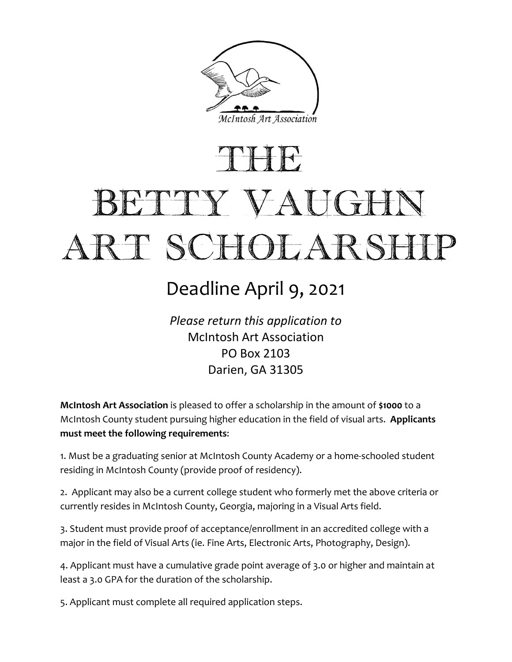

# THE BETTY VAUGHN ART SCHOLARSHIP

### Deadline April 9, 2021

*Please return this application to* McIntosh Art Association PO Box 2103 Darien, GA 31305

**McIntosh Art Association** is pleased to offer a scholarship in the amount of **\$1000** to a McIntosh County student pursuing higher education in the field of visual arts. **Applicants must meet the following requirements**:

1. Must be a graduating senior at McIntosh County Academy or a home-schooled student residing in McIntosh County (provide proof of residency).

2. Applicant may also be a current college student who formerly met the above criteria or currently resides in McIntosh County, Georgia, majoring in a Visual Arts field.

3. Student must provide proof of acceptance/enrollment in an accredited college with a major in the field of Visual Arts (ie. Fine Arts, Electronic Arts, Photography, Design).

4. Applicant must have a cumulative grade point average of 3.0 or higher and maintain at least a 3.0 GPA for the duration of the scholarship.

5. Applicant must complete all required application steps.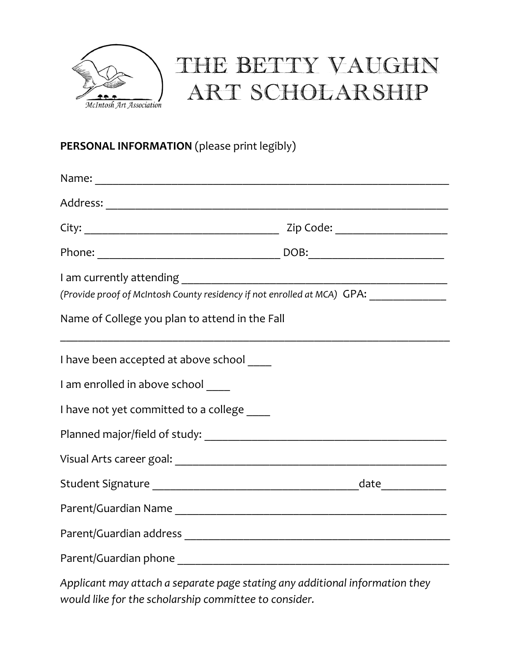

## THE BETTY VAUGHN ART SCHOLARSHIP

### **PERSONAL INFORMATION** (please print legibly)

| (Provide proof of McIntosh County residency if not enrolled at MCA) GPA: _____________ |  |
|----------------------------------------------------------------------------------------|--|
| Name of College you plan to attend in the Fall                                         |  |
| I have been accepted at above school ____                                              |  |
| I am enrolled in above school                                                          |  |
| I have not yet committed to a college ____                                             |  |
|                                                                                        |  |
|                                                                                        |  |
|                                                                                        |  |
|                                                                                        |  |
|                                                                                        |  |
|                                                                                        |  |

*Applicant may attach a separate page stating any additional information they would like for the scholarship committee to consider.*